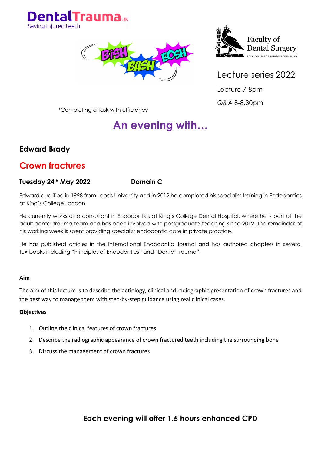





Lecture 7-8pm Q&A 8-8.30pm

\*Completing a task with efficiency

# **An evening with…**

### **Edward Brady**

### **Crown fractures**

#### **Tuesday 24th May 2022 Domain C**

Edward qualified in 1998 from Leeds University and in 2012 he completed his specialist training in Endodontics at King's College London.

He currently works as a consultant in Endodontics at King's College Dental Hospital, where he is part of the adult dental trauma team and has been involved with postgraduate teaching since 2012. The remainder of his working week is spent providing specialist endodontic care in private practice.

He has published articles in the International Endodontic Journal and has authored chapters in several textbooks including "Principles of Endodontics" and "Dental Trauma".

#### **Aim**

The aim of this lecture is to describe the aetiology, clinical and radiographic presentation of crown fractures and the best way to manage them with step-by-step guidance using real clinical cases.

#### **Objectives**

- 1. Outline the clinical features of crown fractures
- 2. Describe the radiographic appearance of crown fractured teeth including the surrounding bone
- 3. Discuss the management of crown fractures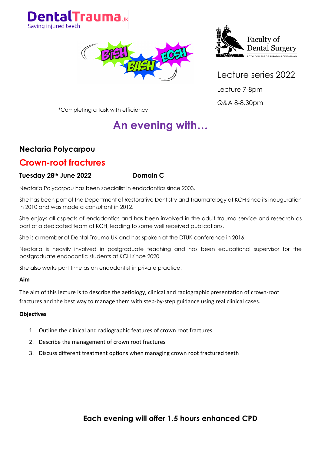





Lecture 7-8pm

Q&A 8-8.30pm

\*Completing a task with efficiency

# **An evening with…**

### **Nectaria Polycarpou**

### **Crown-root fractures**

#### **Tuesday 28th June 2022 Domain C**

Nectaria Polycarpou has been specialist in endodontics since 2003.

She has been part of the Department of Restorative Dentistry and Traumatology at KCH since its inauguration in 2010 and was made a consultant in 2012.

She enjoys all aspects of endodontics and has been involved in the adult trauma service and research as part of a dedicated team at KCH, leading to some well received publications.

She is a member of Dental Trauma UK and has spoken at the DTUK conference in 2016.

Nectaria is heavily involved in postgraduate teaching and has been educational supervisor for the postgraduate endodontic students at KCH since 2020.

She also works part time as an endodontist in private practice.

#### **Aim**

The aim of this lecture is to describe the aetiology, clinical and radiographic presentation of crown-root fractures and the best way to manage them with step-by-step guidance using real clinical cases.

#### **Objectives**

- 1. Outline the clinical and radiographic features of crown root fractures
- 2. Describe the management of crown root fractures
- 3. Discuss different treatment options when managing crown root fractured teeth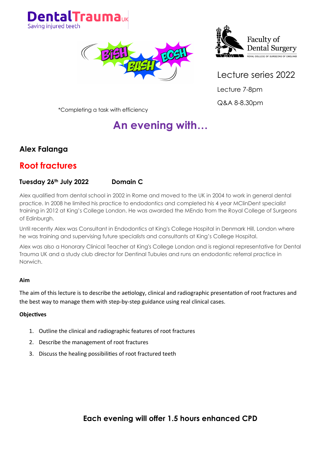





Lecture 7-8pm Q&A 8-8.30pm

\*Completing a task with efficiency

# **An evening with…**

### **Alex Falanga**

## **Root fractures**

#### **Tuesday 26th July 2022 Domain C**

Alex qualified from dental school in 2002 in Rome and moved to the UK in 2004 to work in general dental practice. In 2008 he limited his practice to endodontics and completed his 4 year MClinDent specialist training in 2012 at King's College London. He was awarded the MEndo from the Royal College of Surgeons of Edinburgh.

Until recently Alex was Consultant in Endodontics at King's College Hospital in Denmark Hill, London where he was training and supervising future specialists and consultants at King's College Hospital.

Alex was also a Honorary Clinical Teacher at King's College London and is regional representative for Dental Trauma UK and a study club director for Dentinal Tubules and runs an endodontic referral practice in Norwich.

#### **Aim**

The aim of this lecture is to describe the aetiology, clinical and radiographic presentation of root fractures and the best way to manage them with step-by-step guidance using real clinical cases.

#### **Objectives**

- 1. Outline the clinical and radiographic features of root fractures
- 2. Describe the management of root fractures
- 3. Discuss the healing possibilities of root fractured teeth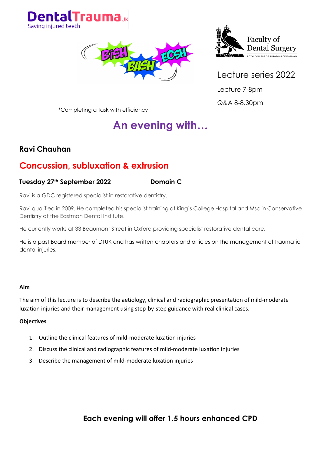





Lecture 7-8pm Q&A 8-8.30pm

\*Completing a task with efficiency

# **An evening with…**

### **Ravi Chauhan**

### **Concussion, subluxation & extrusion**

#### **Tuesday 27th September 2022 Domain C**

Ravi is a GDC registered specialist in restorative dentistry.

Ravi qualified in 2009. He completed his specialist training at King's College Hospital and Msc in Conservative Dentistry at the Eastman Dental Institute.

He currently works at 33 Beaumont Street in Oxford providing specialist restorative dental care.

He is a past Board member of DTUK and has written chapters and articles on the management of traumatic dental injuries.

#### **Aim**

The aim of this lecture is to describe the aetiology, clinical and radiographic presentation of mild-moderate luxation injuries and their management using step-by-step guidance with real clinical cases.

#### **Objectives**

- 1. Outline the clinical features of mild-moderate luxation injuries
- 2. Discuss the clinical and radiographic features of mild-moderate luxation injuries
- 3. Describe the management of mild-moderate luxation injuries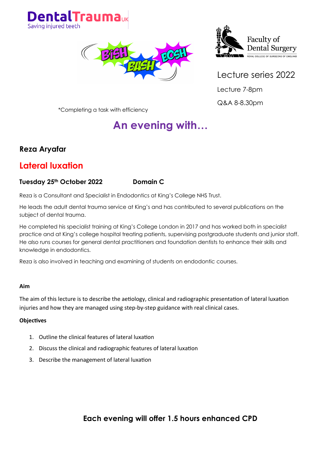





Lecture 7-8pm Q&A 8-8.30pm

\*Completing a task with efficiency

# **An evening with…**

### **Reza Aryafar**

### **Lateral luxation**

#### **Tuesday 25th October 2022 Domain C**

Reza is a Consultant and Specialist in Endodontics at King's College NHS Trust.

He leads the adult dental trauma service at King's and has contributed to several publications on the subject of dental trauma.

He completed his specialist training at King's College London in 2017 and has worked both in specialist practice and at King's college hospital treating patients, supervising postgraduate students and junior staff. He also runs courses for general dental practitioners and foundation dentists to enhance their skills and knowledge in endodontics.

Reza is also involved in teaching and examining of students on endodontic courses.

#### **Aim**

The aim of this lecture is to describe the aetiology, clinical and radiographic presentation of lateral luxation injuries and how they are managed using step-by-step guidance with real clinical cases.

#### **Objectives**

- 1. Outline the clinical features of lateral luxation
- 2. Discuss the clinical and radiographic features of lateral luxation
- 3. Describe the management of lateral luxation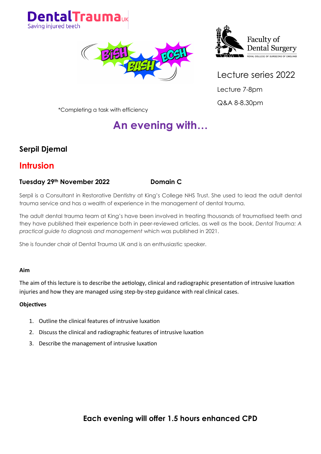





Lecture 7-8pm Q&A 8-8.30pm

\*Completing a task with efficiency

# **An evening with…**

### **Serpil Djemal**

### **Intrusion**

#### **Tuesday 29th November 2022 Domain C**

Serpil is a Consultant in Restorative Dentistry at King's College NHS Trust. She used to lead the adult dental trauma service and has a wealth of experience in the management of dental trauma.

The adult dental trauma team at King's have been involved in treating thousands of traumatised teeth and they have published their experience both in peer-reviewed articles, as well as the book, *Dental Trauma: A practical guide to diagnosis and management* which was published in 2021.

She is founder chair of Dental Trauma UK and is an enthusiastic speaker.

#### **Aim**

The aim of this lecture is to describe the aetiology, clinical and radiographic presentation of intrusive luxation injuries and how they are managed using step-by-step guidance with real clinical cases.

#### **Objectives**

- 1. Outline the clinical features of intrusive luxation
- 2. Discuss the clinical and radiographic features of intrusive luxation
- 3. Describe the management of intrusive luxation